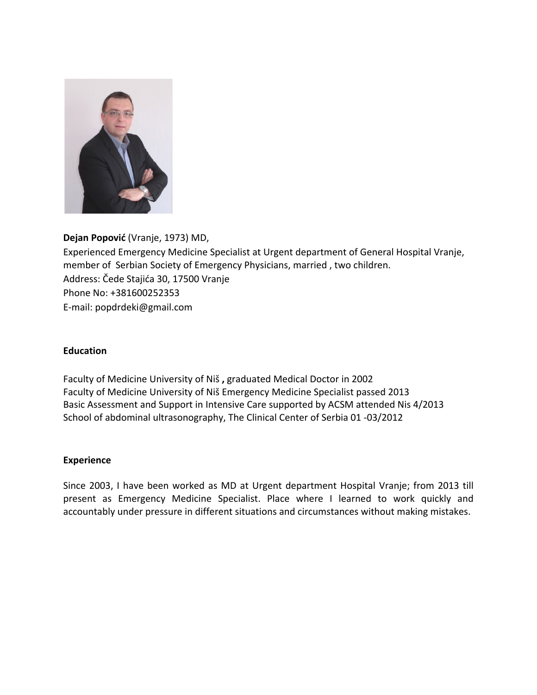

## **Dejan Popović** (Vranje, 1973) MD,

Experienced Emergency Medicine Specialist at Urgent department of General Hospital Vranje, member of Serbian Society of Emergency Physicians, married, two children. Address: Čede Stajića 30, 17500 Vranje Phone No: +381600252353 E-mail: popdrdeki@gmail.com 

## **Education**

Faculty of Medicine University of Niš, graduated Medical Doctor in 2002 Faculty of Medicine University of Niš Emergency Medicine Specialist passed 2013 Basic Assessment and Support in Intensive Care supported by ACSM attended Nis 4/2013 School of abdominal ultrasonography, The Clinical Center of Serbia 01 -03/2012

## **Experience**

Since 2003, I have been worked as MD at Urgent department Hospital Vranje; from 2013 till present as Emergency Medicine Specialist. Place where I learned to work quickly and accountably under pressure in different situations and circumstances without making mistakes.